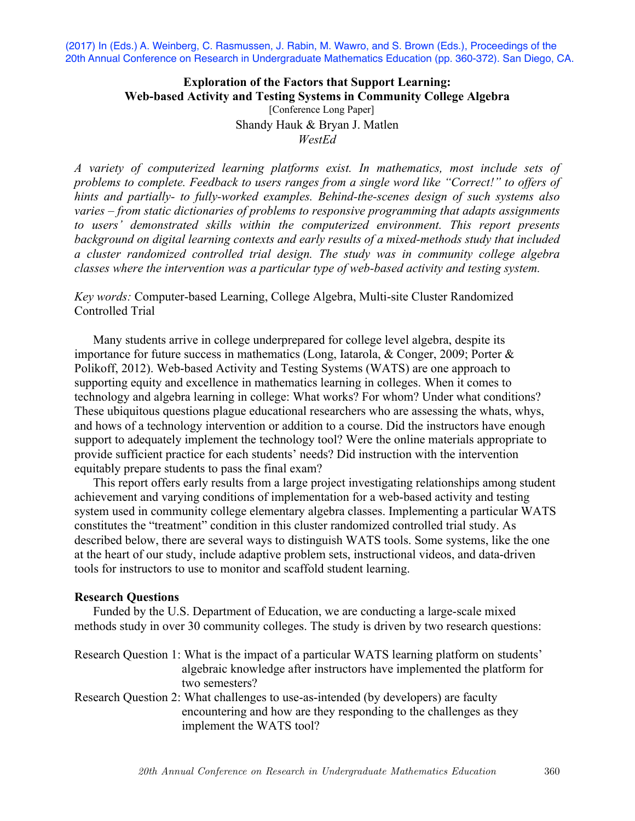(2017) In (Eds.) A. Weinberg, C. Rasmussen, J. Rabin, M. Wawro, and S. Brown (Eds.), Proceedings of the 20th Annual Conference on Research in Undergraduate Mathematics Education (pp. 360-372). San Diego, CA.

### **Exploration of the Factors that Support Learning: Web-based Activity and Testing Systems in Community College Algebra** [Conference Long Paper]

Shandy Hauk & Bryan J. Matlen *WestEd* 

*A variety of computerized learning platforms exist. In mathematics, most include sets of problems to complete. Feedback to users ranges from a single word like "Correct!" to offers of hints and partially- to fully-worked examples. Behind-the-scenes design of such systems also varies – from static dictionaries of problems to responsive programming that adapts assignments to users' demonstrated skills within the computerized environment. This report presents background on digital learning contexts and early results of a mixed-methods study that included a cluster randomized controlled trial design. The study was in community college algebra classes where the intervention was a particular type of web-based activity and testing system.* 

# *Key words:* Computer-based Learning, College Algebra, Multi-site Cluster Randomized Controlled Trial

Many students arrive in college underprepared for college level algebra, despite its importance for future success in mathematics (Long, Iatarola, & Conger, 2009; Porter & Polikoff, 2012). Web-based Activity and Testing Systems (WATS) are one approach to supporting equity and excellence in mathematics learning in colleges. When it comes to technology and algebra learning in college: What works? For whom? Under what conditions? These ubiquitous questions plague educational researchers who are assessing the whats, whys, and hows of a technology intervention or addition to a course. Did the instructors have enough support to adequately implement the technology tool? Were the online materials appropriate to provide sufficient practice for each students' needs? Did instruction with the intervention equitably prepare students to pass the final exam?

This report offers early results from a large project investigating relationships among student achievement and varying conditions of implementation for a web-based activity and testing system used in community college elementary algebra classes. Implementing a particular WATS constitutes the "treatment" condition in this cluster randomized controlled trial study. As described below, there are several ways to distinguish WATS tools. Some systems, like the one at the heart of our study, include adaptive problem sets, instructional videos, and data-driven tools for instructors to use to monitor and scaffold student learning.

### **Research Questions**

Funded by the U.S. Department of Education, we are conducting a large-scale mixed methods study in over 30 community colleges. The study is driven by two research questions:

| Research Question 1: What is the impact of a particular WATS learning platform on students' |  |
|---------------------------------------------------------------------------------------------|--|
| algebraic knowledge after instructors have implemented the platform for                     |  |
| two semesters?                                                                              |  |

Research Question 2: What challenges to use-as-intended (by developers) are faculty encountering and how are they responding to the challenges as they implement the WATS tool?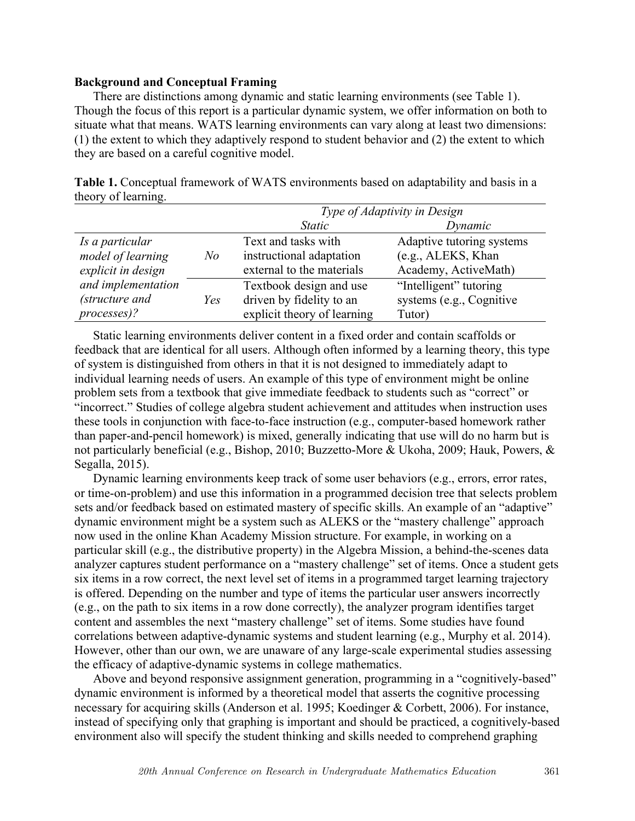## **Background and Conceptual Framing**

There are distinctions among dynamic and static learning environments (see Table 1). Though the focus of this report is a particular dynamic system, we offer information on both to situate what that means. WATS learning environments can vary along at least two dimensions: (1) the extent to which they adaptively respond to student behavior and (2) the extent to which they are based on a careful cognitive model.

|                     | Table 1. Conceptual framework of WATS environments based on adaptability and basis in a |  |  |
|---------------------|-----------------------------------------------------------------------------------------|--|--|
| theory of learning. |                                                                                         |  |  |

|                    |                | Type of Adaptivity in Design |                           |  |
|--------------------|----------------|------------------------------|---------------------------|--|
|                    |                | <i>Static</i>                | Dynamic                   |  |
| Is a particular    |                | Text and tasks with          | Adaptive tutoring systems |  |
| model of learning  | N <sub>O</sub> | instructional adaptation     | (e.g., ALEKS, Khan        |  |
| explicit in design |                | external to the materials    | Academy, ActiveMath)      |  |
| and implementation |                | Textbook design and use      | "Intelligent" tutoring    |  |
| (structure and     | Yes            | driven by fidelity to an     | systems (e.g., Cognitive  |  |
| processes)?        |                | explicit theory of learning  | Tutor)                    |  |

Static learning environments deliver content in a fixed order and contain scaffolds or feedback that are identical for all users. Although often informed by a learning theory, this type of system is distinguished from others in that it is not designed to immediately adapt to individual learning needs of users. An example of this type of environment might be online problem sets from a textbook that give immediate feedback to students such as "correct" or "incorrect." Studies of college algebra student achievement and attitudes when instruction uses these tools in conjunction with face-to-face instruction (e.g., computer-based homework rather than paper-and-pencil homework) is mixed, generally indicating that use will do no harm but is not particularly beneficial (e.g., Bishop, 2010; Buzzetto-More & Ukoha, 2009; Hauk, Powers, & Segalla, 2015).

Dynamic learning environments keep track of some user behaviors (e.g., errors, error rates, or time-on-problem) and use this information in a programmed decision tree that selects problem sets and/or feedback based on estimated mastery of specific skills. An example of an "adaptive" dynamic environment might be a system such as ALEKS or the "mastery challenge" approach now used in the online Khan Academy Mission structure. For example, in working on a particular skill (e.g., the distributive property) in the Algebra Mission, a behind-the-scenes data analyzer captures student performance on a "mastery challenge" set of items. Once a student gets six items in a row correct, the next level set of items in a programmed target learning trajectory is offered. Depending on the number and type of items the particular user answers incorrectly (e.g., on the path to six items in a row done correctly), the analyzer program identifies target content and assembles the next "mastery challenge" set of items. Some studies have found correlations between adaptive-dynamic systems and student learning (e.g., Murphy et al. 2014). However, other than our own, we are unaware of any large-scale experimental studies assessing the efficacy of adaptive-dynamic systems in college mathematics.

Above and beyond responsive assignment generation, programming in a "cognitively-based" dynamic environment is informed by a theoretical model that asserts the cognitive processing necessary for acquiring skills (Anderson et al. 1995; Koedinger & Corbett, 2006). For instance, instead of specifying only that graphing is important and should be practiced, a cognitively-based environment also will specify the student thinking and skills needed to comprehend graphing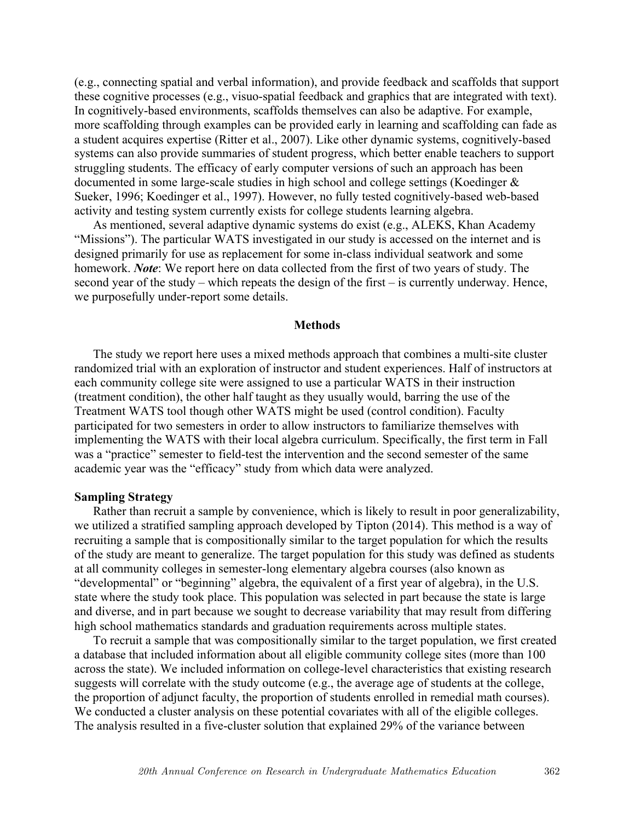(e.g., connecting spatial and verbal information), and provide feedback and scaffolds that support these cognitive processes (e.g., visuo-spatial feedback and graphics that are integrated with text). In cognitively-based environments, scaffolds themselves can also be adaptive. For example, more scaffolding through examples can be provided early in learning and scaffolding can fade as a student acquires expertise (Ritter et al., 2007). Like other dynamic systems, cognitively-based systems can also provide summaries of student progress, which better enable teachers to support struggling students. The efficacy of early computer versions of such an approach has been documented in some large-scale studies in high school and college settings (Koedinger & Sueker, 1996; Koedinger et al., 1997). However, no fully tested cognitively-based web-based activity and testing system currently exists for college students learning algebra.

As mentioned, several adaptive dynamic systems do exist (e.g., ALEKS, Khan Academy "Missions"). The particular WATS investigated in our study is accessed on the internet and is designed primarily for use as replacement for some in-class individual seatwork and some homework. *Note*: We report here on data collected from the first of two years of study. The second year of the study – which repeats the design of the first – is currently underway. Hence, we purposefully under-report some details.

### **Methods**

The study we report here uses a mixed methods approach that combines a multi-site cluster randomized trial with an exploration of instructor and student experiences. Half of instructors at each community college site were assigned to use a particular WATS in their instruction (treatment condition), the other half taught as they usually would, barring the use of the Treatment WATS tool though other WATS might be used (control condition). Faculty participated for two semesters in order to allow instructors to familiarize themselves with implementing the WATS with their local algebra curriculum. Specifically, the first term in Fall was a "practice" semester to field-test the intervention and the second semester of the same academic year was the "efficacy" study from which data were analyzed.

### **Sampling Strategy**

Rather than recruit a sample by convenience, which is likely to result in poor generalizability, we utilized a stratified sampling approach developed by Tipton (2014). This method is a way of recruiting a sample that is compositionally similar to the target population for which the results of the study are meant to generalize. The target population for this study was defined as students at all community colleges in semester-long elementary algebra courses (also known as "developmental" or "beginning" algebra, the equivalent of a first year of algebra), in the U.S. state where the study took place. This population was selected in part because the state is large and diverse, and in part because we sought to decrease variability that may result from differing high school mathematics standards and graduation requirements across multiple states.

To recruit a sample that was compositionally similar to the target population, we first created a database that included information about all eligible community college sites (more than 100 across the state). We included information on college-level characteristics that existing research suggests will correlate with the study outcome (e.g., the average age of students at the college, the proportion of adjunct faculty, the proportion of students enrolled in remedial math courses). We conducted a cluster analysis on these potential covariates with all of the eligible colleges. The analysis resulted in a five-cluster solution that explained 29% of the variance between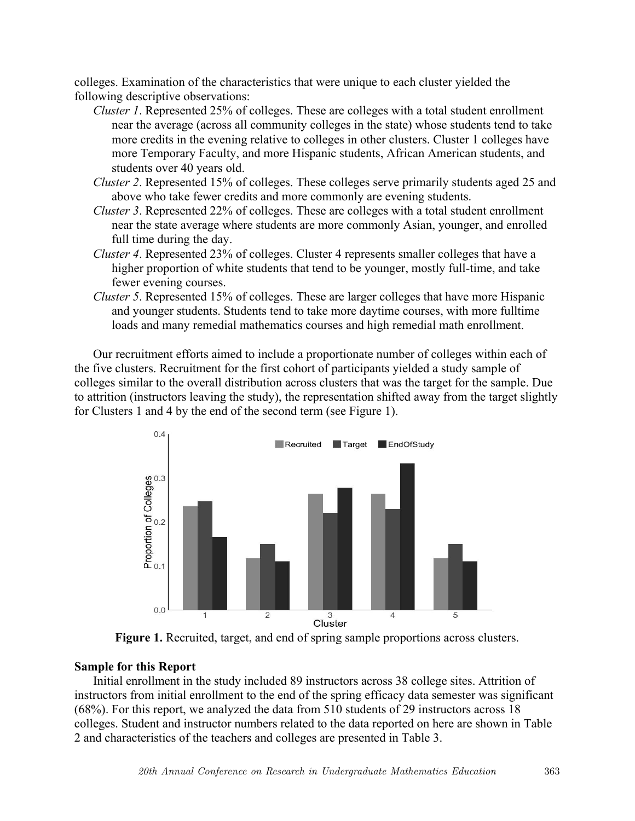colleges. Examination of the characteristics that were unique to each cluster yielded the following descriptive observations:

- *Cluster 1*. Represented 25% of colleges. These are colleges with a total student enrollment near the average (across all community colleges in the state) whose students tend to take more credits in the evening relative to colleges in other clusters. Cluster 1 colleges have more Temporary Faculty, and more Hispanic students, African American students, and students over 40 years old.
- *Cluster 2*. Represented 15% of colleges. These colleges serve primarily students aged 25 and above who take fewer credits and more commonly are evening students.
- *Cluster 3*. Represented 22% of colleges. These are colleges with a total student enrollment near the state average where students are more commonly Asian, younger, and enrolled full time during the day.
- *Cluster 4*. Represented 23% of colleges. Cluster 4 represents smaller colleges that have a higher proportion of white students that tend to be younger, mostly full-time, and take fewer evening courses.
- *Cluster 5*. Represented 15% of colleges. These are larger colleges that have more Hispanic and younger students. Students tend to take more daytime courses, with more fulltime loads and many remedial mathematics courses and high remedial math enrollment.

Our recruitment efforts aimed to include a proportionate number of colleges within each of the five clusters. Recruitment for the first cohort of participants yielded a study sample of colleges similar to the overall distribution across clusters that was the target for the sample. Due to attrition (instructors leaving the study), the representation shifted away from the target slightly for Clusters 1 and 4 by the end of the second term (see Figure 1).



**Figure 1.** Recruited, target, and end of spring sample proportions across clusters.

# **Sample for this Report**

Initial enrollment in the study included 89 instructors across 38 college sites. Attrition of instructors from initial enrollment to the end of the spring efficacy data semester was significant (68%). For this report, we analyzed the data from 510 students of 29 instructors across 18 colleges. Student and instructor numbers related to the data reported on here are shown in Table 2 and characteristics of the teachers and colleges are presented in Table 3.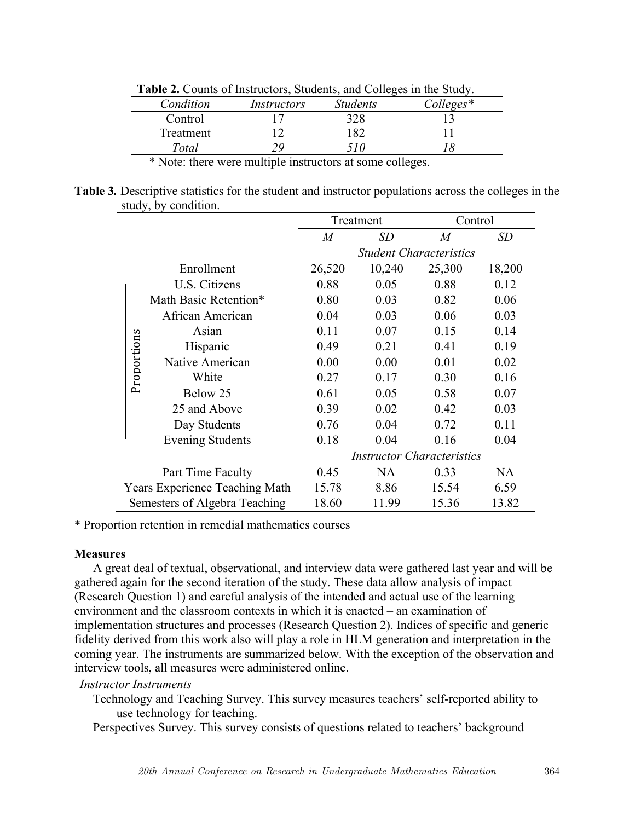|           | <b>Table 2.</b> Counts of Histractors, Buddents, and Concers in the Buddy. |                 |             |  |  |
|-----------|----------------------------------------------------------------------------|-----------------|-------------|--|--|
| Condition | Instructors                                                                | <b>Students</b> | $Colleges*$ |  |  |
| Control   |                                                                            | 328             |             |  |  |
| Treatment |                                                                            | 182             |             |  |  |
| Total     |                                                                            | 510             |             |  |  |
| .         | .                                                                          |                 | . .         |  |  |

**Table 2.** Counts of Instructors, Students, and Colleges in the Study.

\* Note: there were multiple instructors at some colleges.

**Table 3***.* Descriptive statistics for the student and instructor populations across the colleges in the study, by condition.

|        |             |                                                                                                                                                                                                                                                                                                                                                                                                                                                                                                                                                                                                                                                                                                                                                                                                                                                                | Treatment        |           | Control                           |           |
|--------|-------------|----------------------------------------------------------------------------------------------------------------------------------------------------------------------------------------------------------------------------------------------------------------------------------------------------------------------------------------------------------------------------------------------------------------------------------------------------------------------------------------------------------------------------------------------------------------------------------------------------------------------------------------------------------------------------------------------------------------------------------------------------------------------------------------------------------------------------------------------------------------|------------------|-----------|-----------------------------------|-----------|
|        |             |                                                                                                                                                                                                                                                                                                                                                                                                                                                                                                                                                                                                                                                                                                                                                                                                                                                                | $\boldsymbol{M}$ | <i>SD</i> | M                                 | SD        |
|        |             |                                                                                                                                                                                                                                                                                                                                                                                                                                                                                                                                                                                                                                                                                                                                                                                                                                                                |                  |           | <b>Student Characteristics</b>    |           |
|        |             | Enrollment                                                                                                                                                                                                                                                                                                                                                                                                                                                                                                                                                                                                                                                                                                                                                                                                                                                     | 26,520           | 10,240    | 25,300                            | 18,200    |
|        |             | U.S. Citizens                                                                                                                                                                                                                                                                                                                                                                                                                                                                                                                                                                                                                                                                                                                                                                                                                                                  | 0.88             | 0.05      | 0.88                              | 0.12      |
|        |             | Math Basic Retention*                                                                                                                                                                                                                                                                                                                                                                                                                                                                                                                                                                                                                                                                                                                                                                                                                                          | 0.80             | 0.03      | 0.82                              | 0.06      |
|        |             | African American                                                                                                                                                                                                                                                                                                                                                                                                                                                                                                                                                                                                                                                                                                                                                                                                                                               | 0.04             | 0.03      | 0.06                              | 0.03      |
|        |             | Asian                                                                                                                                                                                                                                                                                                                                                                                                                                                                                                                                                                                                                                                                                                                                                                                                                                                          | 0.11             | 0.07      | 0.15                              | 0.14      |
|        | Proportions | Hispanic                                                                                                                                                                                                                                                                                                                                                                                                                                                                                                                                                                                                                                                                                                                                                                                                                                                       | 0.49             | 0.21      | 0.41                              | 0.19      |
|        |             | Native American                                                                                                                                                                                                                                                                                                                                                                                                                                                                                                                                                                                                                                                                                                                                                                                                                                                | 0.00             | 0.00      | 0.01                              | 0.02      |
|        |             | White                                                                                                                                                                                                                                                                                                                                                                                                                                                                                                                                                                                                                                                                                                                                                                                                                                                          | 0.27             | 0.17      | 0.30                              | 0.16      |
|        |             | Below 25                                                                                                                                                                                                                                                                                                                                                                                                                                                                                                                                                                                                                                                                                                                                                                                                                                                       | 0.61             | 0.05      | 0.58                              | 0.07      |
|        |             | 25 and Above                                                                                                                                                                                                                                                                                                                                                                                                                                                                                                                                                                                                                                                                                                                                                                                                                                                   | 0.39             | 0.02      | 0.42                              | 0.03      |
|        |             | Day Students                                                                                                                                                                                                                                                                                                                                                                                                                                                                                                                                                                                                                                                                                                                                                                                                                                                   | 0.76             | 0.04      | 0.72                              | 0.11      |
|        |             | <b>Evening Students</b>                                                                                                                                                                                                                                                                                                                                                                                                                                                                                                                                                                                                                                                                                                                                                                                                                                        | 0.18             | 0.04      | 0.16                              | 0.04      |
|        |             |                                                                                                                                                                                                                                                                                                                                                                                                                                                                                                                                                                                                                                                                                                                                                                                                                                                                |                  |           | <b>Instructor Characteristics</b> |           |
|        |             | Part Time Faculty                                                                                                                                                                                                                                                                                                                                                                                                                                                                                                                                                                                                                                                                                                                                                                                                                                              | 0.45             | NA        | 0.33                              | <b>NA</b> |
|        |             | <b>Years Experience Teaching Math</b>                                                                                                                                                                                                                                                                                                                                                                                                                                                                                                                                                                                                                                                                                                                                                                                                                          | 15.78            | 8.86      | 15.54                             | 6.59      |
|        |             | Semesters of Algebra Teaching                                                                                                                                                                                                                                                                                                                                                                                                                                                                                                                                                                                                                                                                                                                                                                                                                                  | 18.60            | 11.99     | 15.36                             | 13.82     |
| asures |             | roportion retention in remedial mathematics courses                                                                                                                                                                                                                                                                                                                                                                                                                                                                                                                                                                                                                                                                                                                                                                                                            |                  |           |                                   |           |
|        |             | A great deal of textual, observational, and interview data were gathered last year and will<br>nered again for the second iteration of the study. These data allow analysis of impact<br>search Question 1) and careful analysis of the intended and actual use of the learning<br>ironment and the classroom contexts in which it is enacted – an examination of<br>lementation structures and processes (Research Question 2). Indices of specific and gene<br>lity derived from this work also will play a role in HLM generation and interpretation in<br>hing year. The instruments are summarized below. With the exception of the observation<br>rview tools, all measures were administered online.<br>structor Instruments<br>Technology and Teaching Survey. This survey measures teachers' self-reported ability to<br>use technology for teaching. |                  |           |                                   |           |
|        |             | Perspectives Survey. This survey consists of questions related to teachers' background                                                                                                                                                                                                                                                                                                                                                                                                                                                                                                                                                                                                                                                                                                                                                                         |                  |           |                                   |           |

\* Proportion retention in remedial mathematics courses

# **Measures**

A great deal of textual, observational, and interview data were gathered last year and will be gathered again for the second iteration of the study. These data allow analysis of impact (Research Question 1) and careful analysis of the intended and actual use of the learning environment and the classroom contexts in which it is enacted – an examination of implementation structures and processes (Research Question 2). Indices of specific and generic fidelity derived from this work also will play a role in HLM generation and interpretation in the coming year. The instruments are summarized below. With the exception of the observation and interview tools, all measures were administered online.

# *Instructor Instruments*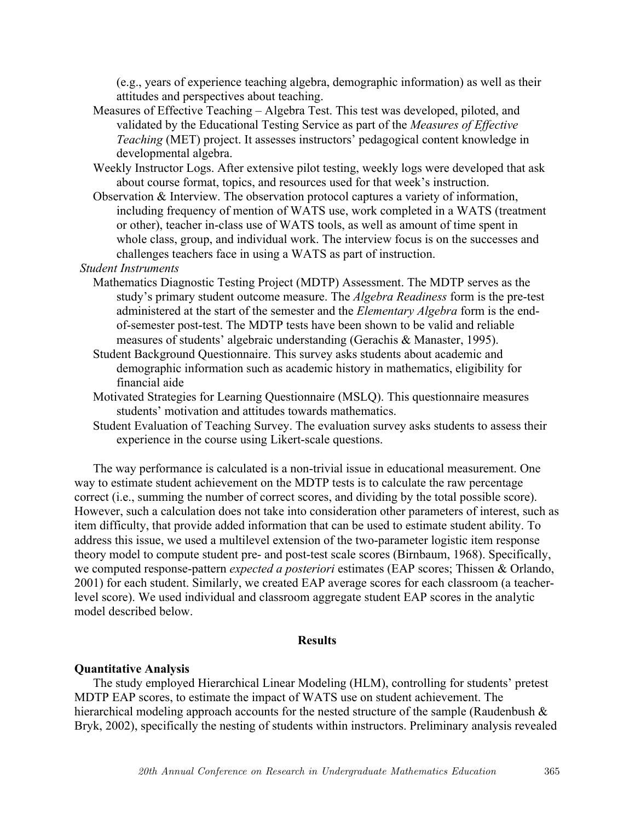(e.g., years of experience teaching algebra, demographic information) as well as their attitudes and perspectives about teaching.

- Measures of Effective Teaching Algebra Test. This test was developed, piloted, and validated by the Educational Testing Service as part of the *Measures of Effective Teaching* (MET) project. It assesses instructors' pedagogical content knowledge in developmental algebra.
- Weekly Instructor Logs. After extensive pilot testing, weekly logs were developed that ask about course format, topics, and resources used for that week's instruction.
- Observation & Interview. The observation protocol captures a variety of information, including frequency of mention of WATS use, work completed in a WATS (treatment or other), teacher in-class use of WATS tools, as well as amount of time spent in whole class, group, and individual work. The interview focus is on the successes and challenges teachers face in using a WATS as part of instruction.

*Student Instruments*

- Mathematics Diagnostic Testing Project (MDTP) Assessment. The MDTP serves as the study's primary student outcome measure. The *Algebra Readiness* form is the pre-test administered at the start of the semester and the *Elementary Algebra* form is the endof-semester post-test. The MDTP tests have been shown to be valid and reliable measures of students' algebraic understanding (Gerachis & Manaster, 1995).
- Student Background Questionnaire. This survey asks students about academic and demographic information such as academic history in mathematics, eligibility for financial aide
- Motivated Strategies for Learning Questionnaire (MSLQ). This questionnaire measures students' motivation and attitudes towards mathematics.
- Student Evaluation of Teaching Survey. The evaluation survey asks students to assess their experience in the course using Likert-scale questions.

The way performance is calculated is a non-trivial issue in educational measurement. One way to estimate student achievement on the MDTP tests is to calculate the raw percentage correct (i.e., summing the number of correct scores, and dividing by the total possible score). However, such a calculation does not take into consideration other parameters of interest, such as item difficulty, that provide added information that can be used to estimate student ability. To address this issue, we used a multilevel extension of the two-parameter logistic item response theory model to compute student pre- and post-test scale scores (Birnbaum, 1968). Specifically, we computed response-pattern *expected a posteriori* estimates (EAP scores; Thissen & Orlando, 2001) for each student. Similarly, we created EAP average scores for each classroom (a teacherlevel score). We used individual and classroom aggregate student EAP scores in the analytic model described below.

## **Results**

### **Quantitative Analysis**

The study employed Hierarchical Linear Modeling (HLM), controlling for students' pretest MDTP EAP scores, to estimate the impact of WATS use on student achievement. The hierarchical modeling approach accounts for the nested structure of the sample (Raudenbush & Bryk, 2002), specifically the nesting of students within instructors. Preliminary analysis revealed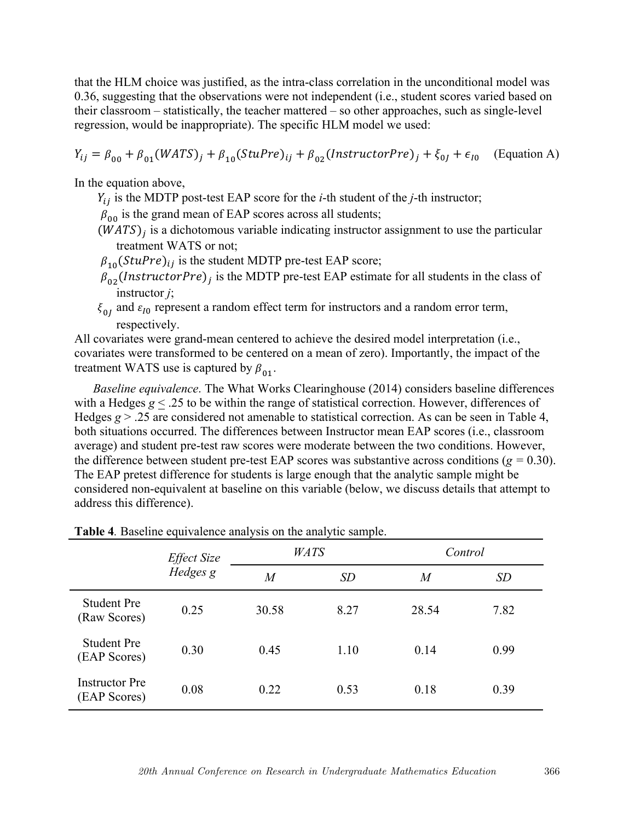that the HLM choice was justified, as the intra-class correlation in the unconditional model was 0.36, suggesting that the observations were not independent (i.e., student scores varied based on their classroom – statistically, the teacher mattered – so other approaches, such as single-level regression, would be inappropriate). The specific HLM model we used:

$$
Y_{ij} = \beta_{00} + \beta_{01}(WATS)_j + \beta_{10}(StuPre)_{ij} + \beta_{02}(InstrumentorPre)_j + \xi_{0j} + \epsilon_{I0}
$$
 (Equation A)

In the equation above,

- $Y_{ii}$  is the MDTP post-test EAP score for the *i*-th student of the *j*-th instructor;
- $\beta_{00}$  is the grand mean of EAP scores across all students;
- $(WATS)$  is a dichotomous variable indicating instructor assignment to use the particular treatment WATS or not;
- $\beta_{10}(StuPre)_{ij}$  is the student MDTP pre-test EAP score;
- $\overline{\beta}_{02}$ (*InstructorPre*)<sub>j</sub> is the MDTP pre-test EAP estimate for all students in the class of instructor *j*;
- $\xi_{0I}$  and  $\varepsilon_{I0}$  represent a random effect term for instructors and a random error term, respectively.

All covariates were grand-mean centered to achieve the desired model interpretation (i.e., covariates were transformed to be centered on a mean of zero). Importantly, the impact of the treatment WATS use is captured by  $\beta_{01}$ .

*Baseline equivalence*. The What Works Clearinghouse (2014) considers baseline differences with a Hedges  $g \le 0.25$  to be within the range of statistical correction. However, differences of Hedges  $g > 0.25$  are considered not amenable to statistical correction. As can be seen in Table 4, both situations occurred. The differences between Instructor mean EAP scores (i.e., classroom average) and student pre-test raw scores were moderate between the two conditions. However, the difference between student pre-test EAP scores was substantive across conditions (*g =* 0.30). The EAP pretest difference for students is large enough that the analytic sample might be considered non-equivalent at baseline on this variable (below, we discuss details that attempt to address this difference).

|                                       | Effect Size |       | <b>WATS</b> | Control |      |
|---------------------------------------|-------------|-------|-------------|---------|------|
|                                       | Hedges g    | M     | SD          | M       | SD   |
| <b>Student Pre</b><br>(Raw Scores)    | 0.25        | 30.58 | 8.27        | 28.54   | 7.82 |
| <b>Student Pre</b><br>(EAP Scores)    | 0.30        | 0.45  | 1.10        | 0.14    | 0.99 |
| <b>Instructor</b> Pre<br>(EAP Scores) | 0.08        | 0.22  | 0.53        | 0.18    | 0.39 |

**Table 4***.* Baseline equivalence analysis on the analytic sample.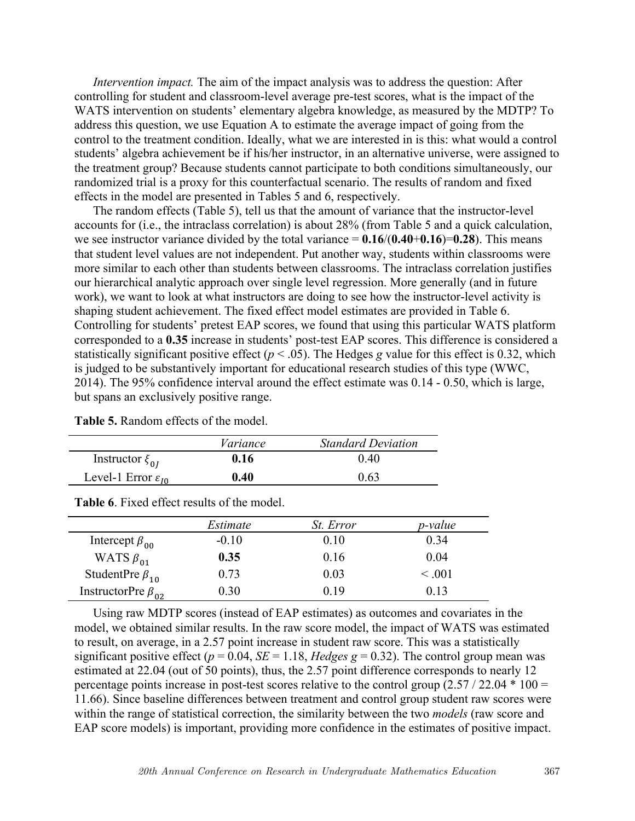*Intervention impact.* The aim of the impact analysis was to address the question: After controlling for student and classroom-level average pre-test scores, what is the impact of the WATS intervention on students' elementary algebra knowledge, as measured by the MDTP? To address this question, we use Equation A to estimate the average impact of going from the control to the treatment condition. Ideally, what we are interested in is this: what would a control students' algebra achievement be if his/her instructor, in an alternative universe, were assigned to the treatment group? Because students cannot participate to both conditions simultaneously, our randomized trial is a proxy for this counterfactual scenario. The results of random and fixed effects in the model are presented in Tables 5 and 6, respectively.

The random effects (Table 5), tell us that the amount of variance that the instructor-level accounts for (i.e., the intraclass correlation) is about 28% (from Table 5 and a quick calculation, we see instructor variance divided by the total variance  $= 0.16/(0.40+0.16)=0.28$ ). This means that student level values are not independent. Put another way, students within classrooms were more similar to each other than students between classrooms. The intraclass correlation justifies our hierarchical analytic approach over single level regression. More generally (and in future work), we want to look at what instructors are doing to see how the instructor-level activity is shaping student achievement. The fixed effect model estimates are provided in Table 6. Controlling for students' pretest EAP scores, we found that using this particular WATS platform corresponded to a **0.35** increase in students' post-test EAP scores. This difference is considered a statistically significant positive effect ( $p < .05$ ). The Hedges *g* value for this effect is 0.32, which is judged to be substantively important for educational research studies of this type (WWC, 2014). The 95% confidence interval around the effect estimate was 0.14 - 0.50, which is large, but spans an exclusively positive range.

|                                  | Variance | <b>Standard Deviation</b> |
|----------------------------------|----------|---------------------------|
| Instructor $\xi_{0I}$            | 0.16     | (140)                     |
| Level-1 Error $\varepsilon_{10}$ | 0.40     | 0.63                      |

**Table 5.** Random effects of the model.

|                            | Estimate | <i>St. Error</i> | <i>p</i> -value |
|----------------------------|----------|------------------|-----------------|
| Intercept $\beta_{00}$     | $-0.10$  | 0.10             | 0.34            |
| WATS $\beta_{01}$          | 0.35     | 0.16             | 0.04            |
| StudentPre $\beta_{10}$    | 0.73     | 0.03             | $\leq 0.01$     |
| InstructorPre $\beta_{02}$ | 0.30     | 0 19             | () 13           |

**Table 6**. Fixed effect results of the model.

Using raw MDTP scores (instead of EAP estimates) as outcomes and covariates in the model, we obtained similar results. In the raw score model, the impact of WATS was estimated to result, on average, in a 2.57 point increase in student raw score. This was a statistically significant positive effect ( $p = 0.04$ , *SE* = 1.18, *Hedges g* = 0.32). The control group mean was estimated at 22.04 (out of 50 points), thus, the 2.57 point difference corresponds to nearly 12 percentage points increase in post-test scores relative to the control group  $(2.57 / 22.04 * 100 =$ 11.66). Since baseline differences between treatment and control group student raw scores were within the range of statistical correction, the similarity between the two *models* (raw score and EAP score models) is important, providing more confidence in the estimates of positive impact.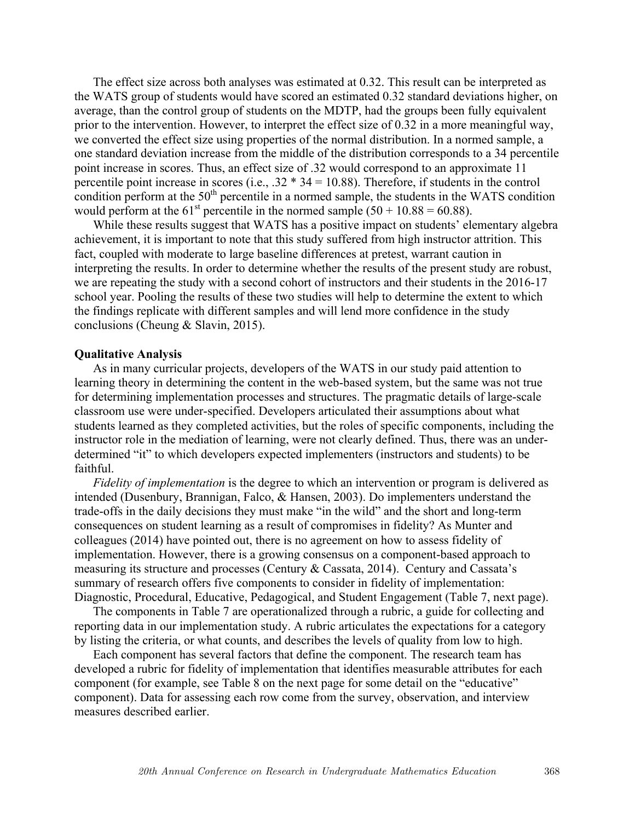The effect size across both analyses was estimated at 0.32. This result can be interpreted as the WATS group of students would have scored an estimated 0.32 standard deviations higher, on average, than the control group of students on the MDTP, had the groups been fully equivalent prior to the intervention. However, to interpret the effect size of 0.32 in a more meaningful way, we converted the effect size using properties of the normal distribution. In a normed sample, a one standard deviation increase from the middle of the distribution corresponds to a 34 percentile point increase in scores. Thus, an effect size of .32 would correspond to an approximate 11 percentile point increase in scores (i.e.,  $.32 * 34 = 10.88$ ). Therefore, if students in the control condition perform at the  $50<sup>th</sup>$  percentile in a normed sample, the students in the WATS condition would perform at the 61<sup>st</sup> percentile in the normed sample  $(50 + 10.88 = 60.88)$ .

While these results suggest that WATS has a positive impact on students' elementary algebra achievement, it is important to note that this study suffered from high instructor attrition. This fact, coupled with moderate to large baseline differences at pretest, warrant caution in interpreting the results. In order to determine whether the results of the present study are robust, we are repeating the study with a second cohort of instructors and their students in the 2016-17 school year. Pooling the results of these two studies will help to determine the extent to which the findings replicate with different samples and will lend more confidence in the study conclusions (Cheung & Slavin, 2015).

### **Qualitative Analysis**

As in many curricular projects, developers of the WATS in our study paid attention to learning theory in determining the content in the web-based system, but the same was not true for determining implementation processes and structures. The pragmatic details of large-scale classroom use were under-specified. Developers articulated their assumptions about what students learned as they completed activities, but the roles of specific components, including the instructor role in the mediation of learning, were not clearly defined. Thus, there was an underdetermined "it" to which developers expected implementers (instructors and students) to be faithful.

*Fidelity of implementation* is the degree to which an intervention or program is delivered as intended (Dusenbury, Brannigan, Falco, & Hansen, 2003). Do implementers understand the trade-offs in the daily decisions they must make "in the wild" and the short and long-term consequences on student learning as a result of compromises in fidelity? As Munter and colleagues (2014) have pointed out, there is no agreement on how to assess fidelity of implementation. However, there is a growing consensus on a component-based approach to measuring its structure and processes (Century & Cassata, 2014). Century and Cassata's summary of research offers five components to consider in fidelity of implementation: Diagnostic, Procedural, Educative, Pedagogical, and Student Engagement (Table 7, next page).

The components in Table 7 are operationalized through a rubric, a guide for collecting and reporting data in our implementation study. A rubric articulates the expectations for a category by listing the criteria, or what counts, and describes the levels of quality from low to high.

Each component has several factors that define the component. The research team has developed a rubric for fidelity of implementation that identifies measurable attributes for each component (for example, see Table 8 on the next page for some detail on the "educative" component). Data for assessing each row come from the survey, observation, and interview measures described earlier.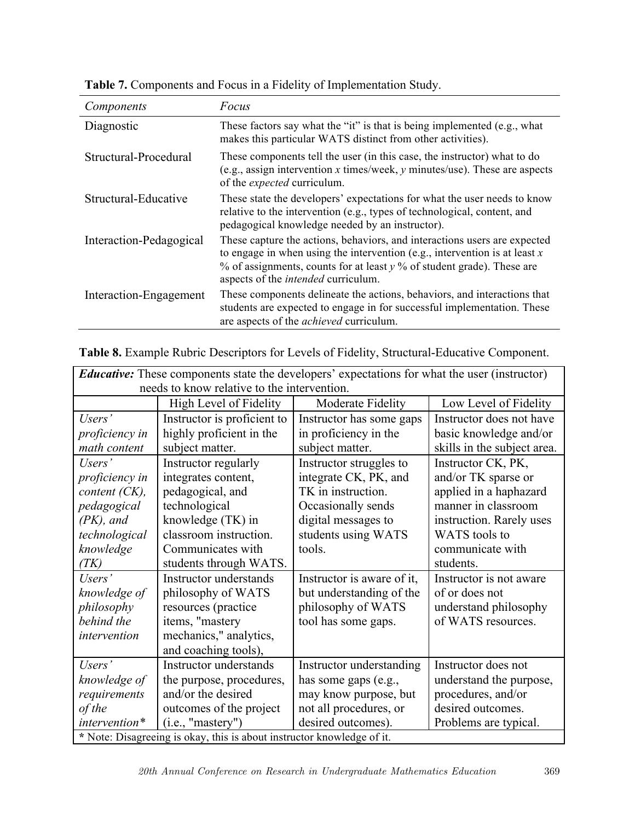| Components              | Focus                                                                                                                                                                                                                                                                                       |
|-------------------------|---------------------------------------------------------------------------------------------------------------------------------------------------------------------------------------------------------------------------------------------------------------------------------------------|
| Diagnostic              | These factors say what the "it" is that is being implemented (e.g., what<br>makes this particular WATS distinct from other activities).                                                                                                                                                     |
| Structural-Procedural   | These components tell the user (in this case, the instructor) what to do<br>(e.g., assign intervention x times/week, y minutes/use). These are aspects<br>of the <i>expected</i> curriculum.                                                                                                |
| Structural-Educative    | These state the developers' expectations for what the user needs to know<br>relative to the intervention (e.g., types of technological, content, and<br>pedagogical knowledge needed by an instructor).                                                                                     |
| Interaction-Pedagogical | These capture the actions, behaviors, and interactions users are expected<br>to engage in when using the intervention (e.g., intervention is at least $x$<br>$\%$ of assignments, counts for at least $\gamma$ % of student grade). These are<br>aspects of the <i>intended</i> curriculum. |
| Interaction-Engagement  | These components delineate the actions, behaviors, and interactions that<br>students are expected to engage in for successful implementation. These<br>are aspects of the <i>achieved</i> curriculum.                                                                                       |

**Table 7.** Components and Focus in a Fidelity of Implementation Study.

|  | Table 8. Example Rubric Descriptors for Levels of Fidelity, Structural-Educative Component. |  |
|--|---------------------------------------------------------------------------------------------|--|
|  |                                                                                             |  |

| <i>Educative:</i> These components state the developers' expectations for what the user (instructor) |                                             |                            |                             |
|------------------------------------------------------------------------------------------------------|---------------------------------------------|----------------------------|-----------------------------|
|                                                                                                      | needs to know relative to the intervention. |                            |                             |
|                                                                                                      | High Level of Fidelity                      | Moderate Fidelity          | Low Level of Fidelity       |
| Users'                                                                                               | Instructor is proficient to                 | Instructor has some gaps   | Instructor does not have    |
| proficiency in                                                                                       | highly proficient in the                    | in proficiency in the      | basic knowledge and/or      |
| math content                                                                                         | subject matter.                             | subject matter.            | skills in the subject area. |
| Users'                                                                                               | Instructor regularly                        | Instructor struggles to    | Instructor CK, PK,          |
| proficiency in                                                                                       | integrates content,                         | integrate CK, PK, and      | and/or TK sparse or         |
| content $(CK)$ ,                                                                                     | pedagogical, and                            | TK in instruction.         | applied in a haphazard      |
| pedagogical                                                                                          | technological                               | Occasionally sends         | manner in classroom         |
| $(PK)$ , and                                                                                         | knowledge (TK) in                           | digital messages to        | instruction. Rarely uses    |
| technological                                                                                        | classroom instruction.                      | students using WATS        | <b>WATS</b> tools to        |
| knowledge                                                                                            | Communicates with                           | tools.                     | communicate with            |
| (TK)                                                                                                 | students through WATS.                      |                            | students.                   |
| Users'                                                                                               | Instructor understands                      | Instructor is aware of it, | Instructor is not aware     |
| knowledge of                                                                                         | philosophy of WATS                          | but understanding of the   | of or does not              |
| philosophy                                                                                           | resources (practice                         | philosophy of WATS         | understand philosophy       |
| behind the                                                                                           | items, "mastery                             | tool has some gaps.        | of WATS resources.          |
| intervention                                                                                         | mechanics," analytics,                      |                            |                             |
|                                                                                                      | and coaching tools),                        |                            |                             |
| Users'                                                                                               | Instructor understands                      | Instructor understanding   | Instructor does not         |
| knowledge of                                                                                         | the purpose, procedures,                    | has some gaps (e.g.,       | understand the purpose,     |
| requirements                                                                                         | and/or the desired                          | may know purpose, but      | procedures, and/or          |
| of the                                                                                               | outcomes of the project                     | not all procedures, or     | desired outcomes.           |
| intervention*                                                                                        | (i.e., "masterv")                           | desired outcomes).         | Problems are typical.       |
| * Note: Disagreeing is okay, this is about instructor knowledge of it.                               |                                             |                            |                             |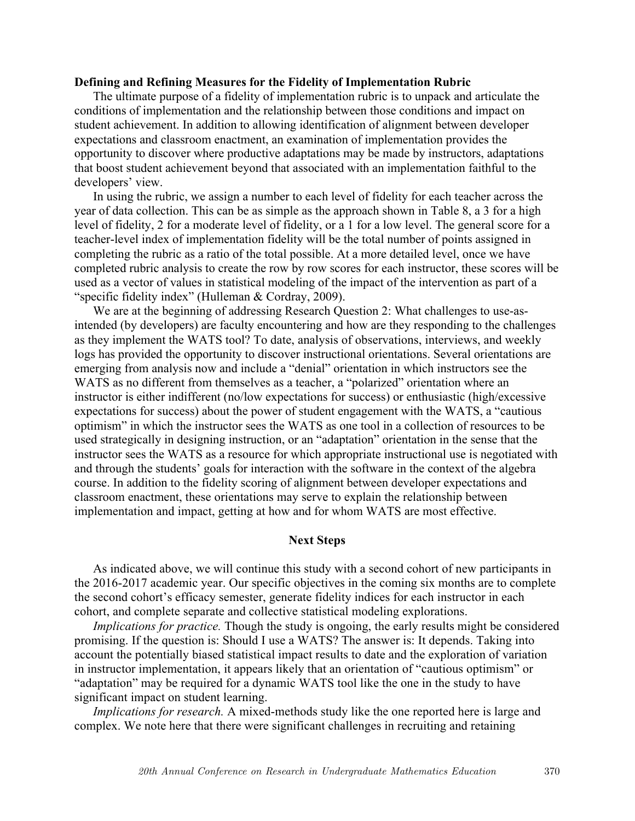### **Defining and Refining Measures for the Fidelity of Implementation Rubric**

The ultimate purpose of a fidelity of implementation rubric is to unpack and articulate the conditions of implementation and the relationship between those conditions and impact on student achievement. In addition to allowing identification of alignment between developer expectations and classroom enactment, an examination of implementation provides the opportunity to discover where productive adaptations may be made by instructors, adaptations that boost student achievement beyond that associated with an implementation faithful to the developers' view.

In using the rubric, we assign a number to each level of fidelity for each teacher across the year of data collection. This can be as simple as the approach shown in Table 8, a 3 for a high level of fidelity, 2 for a moderate level of fidelity, or a 1 for a low level. The general score for a teacher-level index of implementation fidelity will be the total number of points assigned in completing the rubric as a ratio of the total possible. At a more detailed level, once we have completed rubric analysis to create the row by row scores for each instructor, these scores will be used as a vector of values in statistical modeling of the impact of the intervention as part of a "specific fidelity index" (Hulleman & Cordray, 2009).

We are at the beginning of addressing Research Question 2: What challenges to use-asintended (by developers) are faculty encountering and how are they responding to the challenges as they implement the WATS tool? To date, analysis of observations, interviews, and weekly logs has provided the opportunity to discover instructional orientations. Several orientations are emerging from analysis now and include a "denial" orientation in which instructors see the WATS as no different from themselves as a teacher, a "polarized" orientation where an instructor is either indifferent (no/low expectations for success) or enthusiastic (high/excessive expectations for success) about the power of student engagement with the WATS, a "cautious optimism" in which the instructor sees the WATS as one tool in a collection of resources to be used strategically in designing instruction, or an "adaptation" orientation in the sense that the instructor sees the WATS as a resource for which appropriate instructional use is negotiated with and through the students' goals for interaction with the software in the context of the algebra course. In addition to the fidelity scoring of alignment between developer expectations and classroom enactment, these orientations may serve to explain the relationship between implementation and impact, getting at how and for whom WATS are most effective.

#### **Next Steps**

As indicated above, we will continue this study with a second cohort of new participants in the 2016-2017 academic year. Our specific objectives in the coming six months are to complete the second cohort's efficacy semester, generate fidelity indices for each instructor in each cohort, and complete separate and collective statistical modeling explorations.

*Implications for practice.* Though the study is ongoing, the early results might be considered promising. If the question is: Should I use a WATS? The answer is: It depends. Taking into account the potentially biased statistical impact results to date and the exploration of variation in instructor implementation, it appears likely that an orientation of "cautious optimism" or "adaptation" may be required for a dynamic WATS tool like the one in the study to have significant impact on student learning.

*Implications for research.* A mixed-methods study like the one reported here is large and complex. We note here that there were significant challenges in recruiting and retaining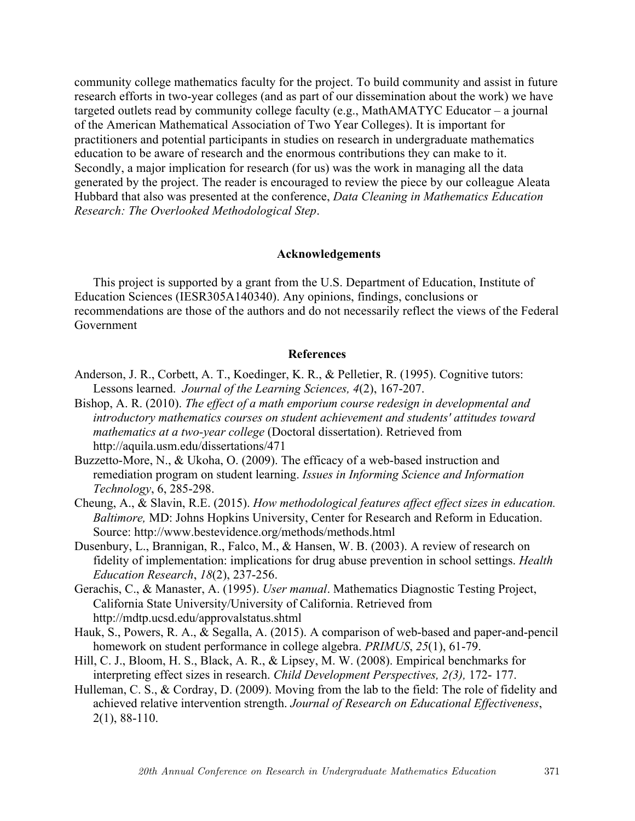community college mathematics faculty for the project. To build community and assist in future research efforts in two-year colleges (and as part of our dissemination about the work) we have targeted outlets read by community college faculty (e.g., MathAMATYC Educator – a journal of the American Mathematical Association of Two Year Colleges). It is important for practitioners and potential participants in studies on research in undergraduate mathematics education to be aware of research and the enormous contributions they can make to it. Secondly, a major implication for research (for us) was the work in managing all the data generated by the project. The reader is encouraged to review the piece by our colleague Aleata Hubbard that also was presented at the conference, *Data Cleaning in Mathematics Education Research: The Overlooked Methodological Step*.

### **Acknowledgements**

This project is supported by a grant from the U.S. Department of Education, Institute of Education Sciences (IESR305A140340). Any opinions, findings, conclusions or recommendations are those of the authors and do not necessarily reflect the views of the Federal Government

### **References**

- Anderson, J. R., Corbett, A. T., Koedinger, K. R., & Pelletier, R. (1995). Cognitive tutors: Lessons learned. *Journal of the Learning Sciences, 4*(2), 167-207.
- Bishop, A. R. (2010). *The effect of a math emporium course redesign in developmental and introductory mathematics courses on student achievement and students' attitudes toward mathematics at a two-year college* (Doctoral dissertation). Retrieved from http://aquila.usm.edu/dissertations/471
- Buzzetto-More, N., & Ukoha, O. (2009). The efficacy of a web-based instruction and remediation program on student learning. *Issues in Informing Science and Information Technology*, 6, 285-298.
- Cheung, A., & Slavin, R.E. (2015). *How methodological features affect effect sizes in education. Baltimore,* MD: Johns Hopkins University, Center for Research and Reform in Education. Source: http://www.bestevidence.org/methods/methods.html
- Dusenbury, L., Brannigan, R., Falco, M., & Hansen, W. B. (2003). A review of research on fidelity of implementation: implications for drug abuse prevention in school settings. *Health Education Research*, *18*(2), 237-256.
- Gerachis, C., & Manaster, A. (1995). *User manual*. Mathematics Diagnostic Testing Project, California State University/University of California. Retrieved from http://mdtp.ucsd.edu/approvalstatus.shtml
- Hauk, S., Powers, R. A., & Segalla, A. (2015). A comparison of web-based and paper-and-pencil homework on student performance in college algebra. *PRIMUS*, *25*(1), 61-79.
- Hill, C. J., Bloom, H. S., Black, A. R., & Lipsey, M. W. (2008). Empirical benchmarks for interpreting effect sizes in research. *Child Development Perspectives, 2(3),* 172- 177.
- Hulleman, C. S., & Cordray, D. (2009). Moving from the lab to the field: The role of fidelity and achieved relative intervention strength. *Journal of Research on Educational Effectiveness*, 2(1), 88-110.